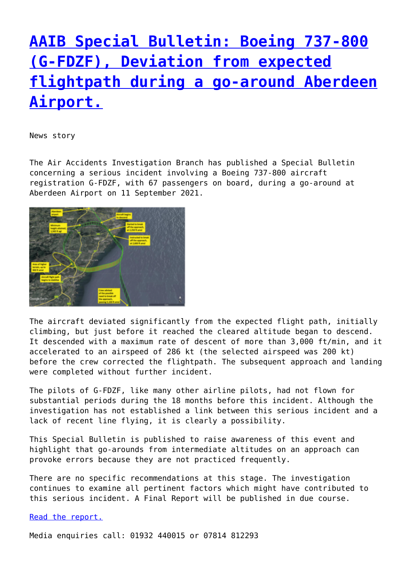## **[AAIB Special Bulletin: Boeing 737-800](http://www.government-world.com/aaib-special-bulletin-boeing-737-800-g-fdzf-deviation-from-expected-flightpath-during-a-go-around-aberdeen-airport/) [\(G-FDZF\), Deviation from expected](http://www.government-world.com/aaib-special-bulletin-boeing-737-800-g-fdzf-deviation-from-expected-flightpath-during-a-go-around-aberdeen-airport/) [flightpath during a go-around Aberdeen](http://www.government-world.com/aaib-special-bulletin-boeing-737-800-g-fdzf-deviation-from-expected-flightpath-during-a-go-around-aberdeen-airport/) [Airport.](http://www.government-world.com/aaib-special-bulletin-boeing-737-800-g-fdzf-deviation-from-expected-flightpath-during-a-go-around-aberdeen-airport/)**

News story

The Air Accidents Investigation Branch has published a Special Bulletin concerning a serious incident involving a Boeing 737-800 aircraft registration G-FDZF, with 67 passengers on board, during a go-around at Aberdeen Airport on 11 September 2021.



The aircraft deviated significantly from the expected flight path, initially climbing, but just before it reached the cleared altitude began to descend. It descended with a maximum rate of descent of more than 3,000 ft/min, and it accelerated to an airspeed of 286 kt (the selected airspeed was 200 kt) before the crew corrected the flightpath. The subsequent approach and landing were completed without further incident.

The pilots of G-FDZF, like many other airline pilots, had not flown for substantial periods during the 18 months before this incident. Although the investigation has not established a link between this serious incident and a lack of recent line flying, it is clearly a possibility.

This Special Bulletin is published to raise awareness of this event and highlight that go-arounds from intermediate altitudes on an approach can provoke errors because they are not practiced frequently.

There are no specific recommendations at this stage. The investigation continues to examine all pertinent factors which might have contributed to this serious incident. A Final Report will be published in due course.

[Read the report.](https://www.gov.uk/aaib-reports/aaib-special-bulletin-s2-slash-2021-on-boeing-737-8k5-g-fdzf)

Media enquiries call: 01932 440015 or 07814 812293